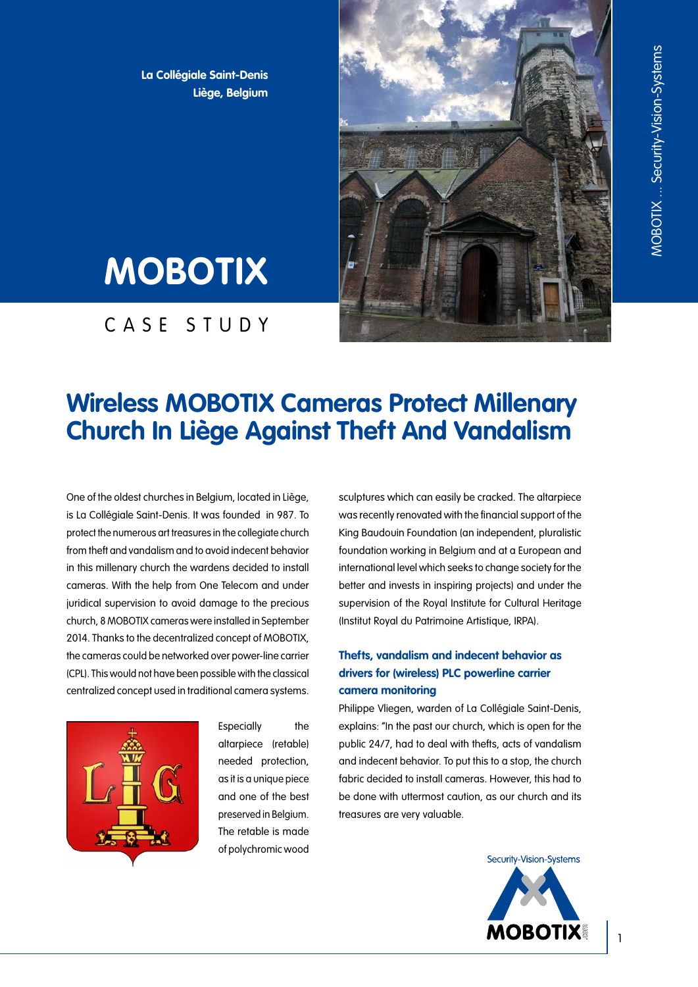**La Collégiale Saint-Denis Liège, Belgium**



# **MOBOTIX**

CASE STUDY

## **Wireless MOBOTIX Cameras Protect Millenary Church In Liège Against Theft And Vandalism**

One of the oldest churches in Belgium, located in Liège, is La Collégiale Saint-Denis. It was founded in 987. To protect the numerous art treasures in the collegiate church from theft and vandalism and to avoid indecent behavior in this millenary church the wardens decided to install cameras. With the help from One Telecom and under juridical supervision to avoid damage to the precious church, 8 MOBOTIX cameras were installed in September 2014. Thanks to the decentralized concept of MOBOTIX, the cameras could be networked over power-line carrier (CPL). This would not have been possible with the classical centralized concept used in traditional camera systems.



Especially the altarpiece (retable) needed protection, as it is a unique piece and one of the best preserved in Belgium. The retable is made of polychromic wood sculptures which can easily be cracked. The altarpiece was recently renovated with the financial support of the King Baudouin Foundation (an independent, pluralistic foundation working in Belgium and at a European and international level which seeks to change society for the better and invests in inspiring projects) and under the supervision of the Royal Institute for Cultural Heritage (Institut Royal du Patrimoine Artistique, IRPA).

#### **Thefts, vandalism and indecent behavior as drivers for (wireless) PLC powerline carrier camera monitoring**

Philippe Vliegen, warden of La Collégiale Saint-Denis, explains: "In the past our church, which is open for the public 24/7, had to deal with thefts, acts of vandalism and indecent behavior. To put this to a stop, the church fabric decided to install cameras. However, this had to be done with uttermost caution, as our church and its treasures are very valuable.

Security-Vision-Systems

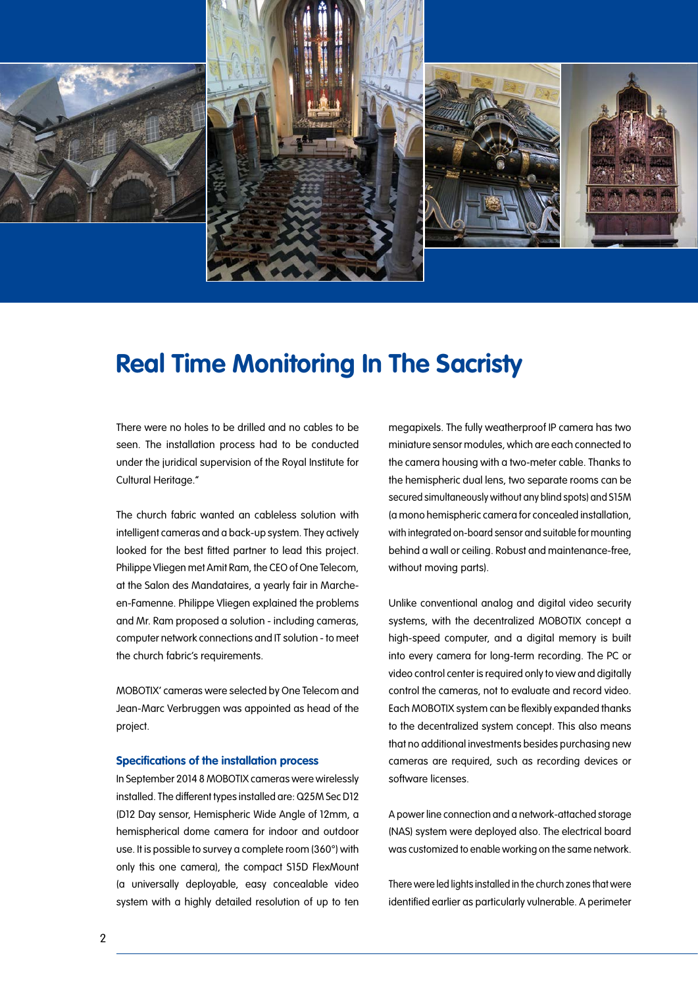





### **Real Time Monitoring In The Sacristy**

There were no holes to be drilled and no cables to be seen. The installation process had to be conducted under the juridical supervision of the Royal Institute for Cultural Heritage."

The church fabric wanted an cableless solution with intelligent cameras and a back-up system. They actively looked for the best fitted partner to lead this project. Philippe Vliegen met Amit Ram, the CEO of One Telecom, at the Salon des Mandataires, a yearly fair in Marcheen-Famenne. Philippe Vliegen explained the problems and Mr. Ram proposed a solution - including cameras, computer network connections and IT solution - to meet the church fabric's requirements.

MOBOTIX' cameras were selected by One Telecom and Jean-Marc Verbruggen was appointed as head of the project.

#### **Specifications of the installation process**

In September 2014 8 MOBOTIX cameras were wirelessly installed. The different types installed are: Q25M Sec D12 (D12 Day sensor, Hemispheric Wide Angle of 12mm, a hemispherical dome camera for indoor and outdoor use. It is possible to survey a complete room (360°) with only this one camera), the compact S15D FlexMount (a universally deployable, easy concealable video system with a highly detailed resolution of up to ten

megapixels. The fully weatherproof IP camera has two miniature sensor modules, which are each connected to the camera housing with a two-meter cable. Thanks to the hemispheric dual lens, two separate rooms can be secured simultaneously without any blind spots) and S15M (a mono hemispheric camera for concealed installation, with integrated on-board sensor and suitable for mounting behind a wall or ceiling. Robust and maintenance-free, without moving parts).

Unlike conventional analog and digital video security systems, with the decentralized MOBOTIX concept a high-speed computer, and a digital memory is built into every camera for long-term recording. The PC or video control center is required only to view and digitally control the cameras, not to evaluate and record video. Each MOBOTIX system can be flexibly expanded thanks to the decentralized system concept. This also means that no additional investments besides purchasing new cameras are required, such as recording devices or software licenses.

A power line connection and a network-attached storage (NAS) system were deployed also. The electrical board was customized to enable working on the same network.

There were led lights installed in the church zones that were identified earlier as particularly vulnerable. A perimeter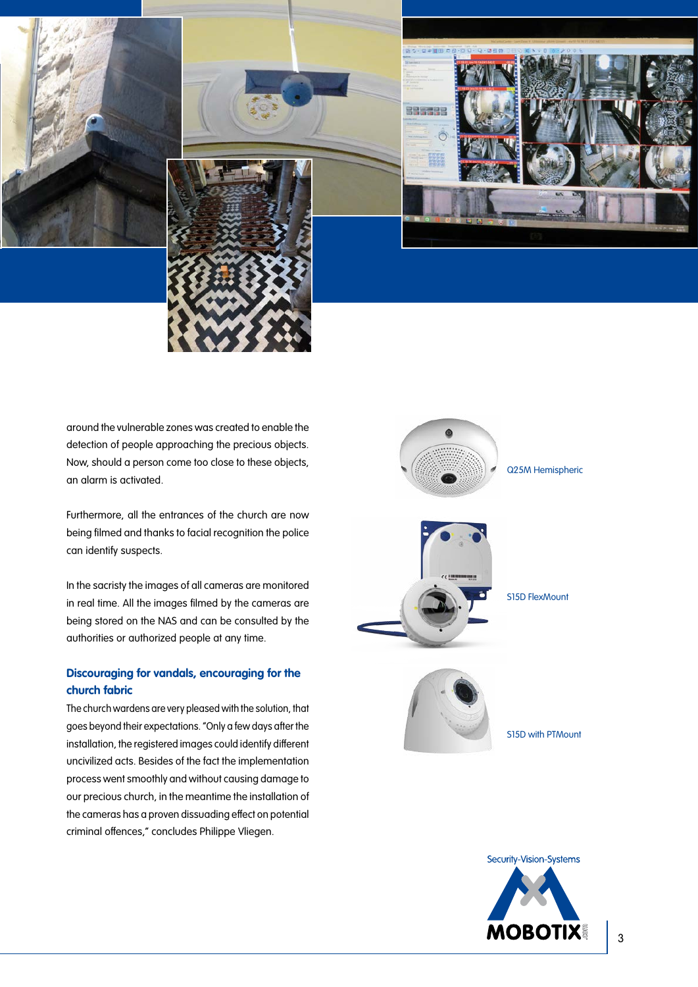







around the vulnerable zones was created to enable the detection of people approaching the precious objects. Now, should a person come too close to these objects, an alarm is activated.

Furthermore, all the entrances of the church are now being filmed and thanks to facial recognition the police can identify suspects.

In the sacristy the images of all cameras are monitored in real time. All the images filmed by the cameras are being stored on the NAS and can be consulted by the authorities or authorized people at any time.

#### **Discouraging for vandals, encouraging for the church fabric**

The church wardens are very pleased with the solution, that goes beyond their expectations. "Only a few days after the installation, the registered images could identify different uncivilized acts. Besides of the fact the implementation process went smoothly and without causing damage to our precious church, in the meantime the installation of the cameras has a proven dissuading effect on potential criminal offences," concludes Philippe Vliegen.